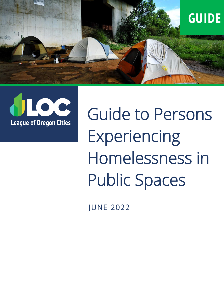



Guide to Persons **Experiencing** Homelessness in Public Spaces

 $\frac{1}{1}$ JUNE 2022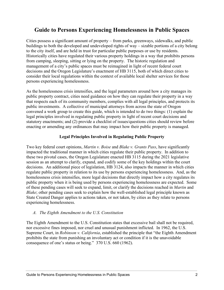# **Guide to Persons Experiencing Homelessness in Public Spaces**

Cities possess a significant amount of property – from parks, greenways, sidewalks, and public buildings to both the developed and undeveloped rights of way – sizable portions of a city belong to the city itself, and are held in trust for particular public purposes or use by residents. Historically cities have regulated their various property holdings in a way that prohibits persons from camping, sleeping, sitting or lying on the property. The historic regulation and management of a city's public spaces must be reimagined in light of recent federal court decisions and the Oregon Legislature's enactment of HB 3115, both of which direct cities to consider their local regulations within the context of available local shelter services for those persons experiencing homelessness.

As the homelessness crisis intensifies, and the legal parameters around how a city manages its public property contract, cities need guidance on how they can regulate their property in a way that respects each of its community members, complies with all legal principles, and protects its public investments. A collective of municipal attorneys from across the state of Oregon convened a work group to create this guide, which is intended to do two things: (1) explain the legal principles involved in regulating public property in light of recent court decisions and statutory enactments; and (2) provide a checklist of issues/questions cities should review before enacting or amending any ordinances that may impact how their public property is managed.

## **Legal Principles Involved in Regulating Public Property**

Two key federal court opinions, *Martin v. Boise* and *Blake v. Grants Pass*, have significantly impacted the traditional manner in which cities regulate their public property. In addition to these two pivotal cases, the Oregon Legislature enacted HB 3115 during the 2021 legislative session as an attempt to clarify, expand, and codify some of the key holdings within the court decisions. An additional piece of legislation, HB 3124, also impacts the manner in which cities regulate public property in relation to its use by persons experiencing homelessness. And, as the homelessness crisis intensifies, more legal decisions that directly impact how a city regulates its public property when it is being used by persons experiencing homelessness are expected. Some of these pending cases will seek to expand, limit, or clarify the decisions reached in *Martin* and *Blake*; other pending cases seek to explain how the well-established legal principle known as State Created Danger applies to actions taken, or not taken, by cities as they relate to persons experiencing homelessness.

## *A. The Eighth Amendment to the U.S. Constitution*

The Eighth Amendment to the U.S. Constitution states that excessive bail shall not be required, nor excessive fines imposed, nor cruel and unusual punishment inflicted. In 1962, the U.S. Supreme Court, in *Robinson v. California*, established the principle that "the Eighth Amendment prohibits the state from punishing an involuntary act or condition if it is the unavoidable consequence of one's status or being." 370 U.S. 660 (1962).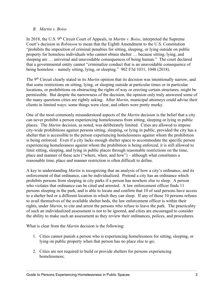## *B. Martin v. Boise*

In 2018, the U.S. 9<sup>th</sup> Circuit Court of Appeals, in *Martin v. Boise*, interpreted the Supreme Court's decision in *Robinson* to mean that the Eighth Amendment to the U.S. Constitution "prohibits the imposition of criminal penalties for sitting, sleeping, or lying outside on public property for homeless individuals who cannot obtain shelter … because sitting, lying, and sleeping are … universal and unavoidable consequences of being human." The court declared that a governmental entity cannot "criminalize conduct that is an unavoidable consequence of being homeless – namely sitting, lying, or sleeping." 902 F3d 1031, 1048 (2018).

The 9th Circuit clearly stated in its *Martin* opinion that its decision was intentionally narrow, and that some restrictions on sitting, lying, or sleeping outside at particular times or in particular locations, or prohibitions on obstructing the rights of way or erecting certain structures, might be permissible. But despite the narrowness of the decision, the opinion only truly answered some of the many questions cities are rightly asking. After *Martin*, municipal attorneys could advise their clients in limited ways: some things were clear, and others were pretty murky.

One of the most commonly misunderstood aspects of the *Martin* decision is the belief that a city can never prohibit a person experiencing homelessness from sitting, sleeping or lying in public places. The *Martin* decision, as noted, was deliberately limited. Cities are allowed to impose city-wide prohibitions against persons sitting, sleeping, or lying in public, provided the city has a shelter that is accessible to the person experiencing homelessness against whom the prohibition is being enforced. Even if a city lacks enough shelter space to accommodate the specific person experiencing homelessness against whom the prohibition is being enforced, it is still allowed to limit sitting, sleeping, and lying in public places through reasonable restrictions on the time, place and manner of these acts ("where, when, and how") – although what constitutes a reasonable time, place and manner restriction is often difficult to define.

A key to understanding *Martin* is recognizing that an analysis of how a city's ordinance, and its enforcement of that ordinance, can be individualized. Pretend a city has an ordinance which prohibits persons from sleeping in city parks if a person has nowhere else to sleep. A person who violates that ordinance can be cited and arrested. A law enforcement officer finds 11 persons sleeping in the park, and is able to locate and confirm that 10 of said persons have access to a shelter bed or a different location in which they can sleep. If any of those 10 persons refuses to avail themselves of the available shelter beds, the law enforcement officer is within their rights, under *Martin*, to cite and arrest the persons who refuse to leave the park. The practicality of such an individualized assessment is not to be ignored, and cities are encouraged to consider the ability to make such an assessment as they review their ordinances, polices, and procedures.

What is clear from the *Martin* decision is the following:

- 1. Cities cannot punish a person who is experiencing homelessness for sitting, sleeping, or lying on public property when that person has no place else to go;
- 2. Cities are not required to build or provide shelters for persons experiencing homelessness;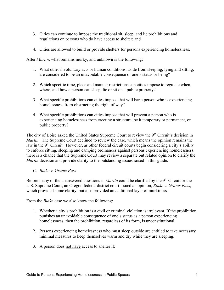- 3. Cities can continue to impose the traditional sit, sleep, and lie prohibitions and regulations on persons who do have access to shelter; and
- 4. Cities are allowed to build or provide shelters for persons experiencing homelessness.

After *Martin*, what remains murky, and unknown is the following:

- 1. What other involuntary acts or human conditions, aside from sleeping, lying and sitting, are considered to be an unavoidable consequence of one's status or being?
- 2. Which specific time, place and manner restrictions can cities impose to regulate when, where, and how a person can sleep, lie or sit on a public property?
- 3. What specific prohibitions can cities impose that will bar a person who is experiencing homelessness from obstructing the right of way?
- 4. What specific prohibitions can cities impose that will prevent a person who is experiencing homelessness from erecting a structure, be it temporary or permanent, on public property?

The city of Boise asked the United States Supreme Court to review the 9<sup>th</sup> Circuit's decision in *Martin*. The Supreme Court declined to review the case, which means the opinion remains the law in the 9<sup>th</sup> Circuit. However, as other federal circuit courts begin considering a city's ability to enforce sitting, sleeping and camping ordinances against persons experiencing homelessness, there is a chance that the Supreme Court may review a separate but related opinion to clarify the *Martin* decision and provide clarity to the outstanding issues raised in this guide.

## *C. Blake v. Grants Pass*

Before many of the unanswered questions in *Martin* could be clarified by the 9<sup>th</sup> Circuit or the U.S. Supreme Court, an Oregon federal district court issued an opinion, *Blake v. Grants Pass*, which provided some clarity, but also provided an additional layer of murkiness.

From the *Blake* case we also know the following:

- 1. Whether a city's prohibition is a civil or criminal violation is irrelevant. If the prohibition punishes an unavoidable consequence of one's status as a person experiencing homelessness, then the prohibition, regardless of its form, is unconstitutional.
- 2. Persons experiencing homelessness who must sleep outside are entitled to take necessary minimal measures to keep themselves warm and dry while they are sleeping.
- 3. A person does not have access to shelter if: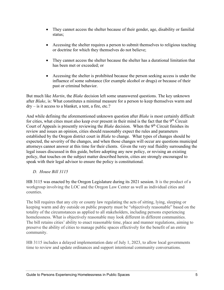- They cannot access the shelter because of their gender, age, disability or familial status;
- Accessing the shelter requires a person to submit themselves to religious teaching or doctrine for which they themselves do not believe;
- They cannot access the shelter because the shelter has a durational limitation that has been met or exceeded; or
- Accessing the shelter is prohibited because the person seeking access is under the influence of some substance (for example alcohol or drugs) or because of their past or criminal behavior.

But much like *Martin*, the *Blake* decision left some unanswered questions. The key unknown after *Blake*, is: What constitutes a minimal measure for a person to keep themselves warm and dry – is it access to a blanket, a tent, a fire, etc.?

And while defining the aforementioned unknown question after *Blake* is most certainly difficult for cities, what cities must also keep ever present in their mind is the fact that the 9<sup>th</sup> Circuit Court of Appeals is presently reviewing the *Blake* decision. When the 9<sup>th</sup> Circuit finishes its review and issues an opinion, cities should reasonably expect the rules and parameters established by the Oregon district court in *Blake* to change. What types of changes should be expected, the severity of the changes, and when those changes will occur are questions municipal attorneys cannot answer at this time for their clients. Given the very real fluidity surrounding the legal issues discussed in this guide, before adopting any new policy, or revising an existing policy, that touches on the subject matter described herein, cities are strongly encouraged to speak with their legal advisor to ensure the policy is constitutional.

*D. House Bill 3115* 

HB 3115 was enacted by the Oregon Legislature during its 2021 session. It is the product of a workgroup involving the LOC and the Oregon Law Center as well as individual cities and counties.

The bill requires that any city or county law regulating the acts of sitting, lying, sleeping or keeping warm and dry outside on public property must be "objectively reasonable" based on the totality of the circumstances as applied to all stakeholders, including persons experiencing homelessness. What is objectively reasonable may look different in different communities. The bill retains cities' ability to enact reasonable time, place and manner regulations, aiming to preserve the ability of cities to manage public spaces effectively for the benefit of an entire community.

HB 3115 includes a delayed implementation date of July 1, 2023, to allow local governments time to review and update ordinances and support intentional community conversations.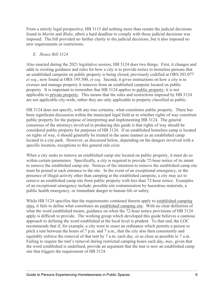From a strictly legal perspective, HB 3115 did nothing more than restate the judicial decisions found in *Martin* and *Blake*, albeit a hard deadline to comply with those judicial decisions was imposed. The bill provided no further clarity to the judicial decisions, but it also imposed no new requirements or restrictions.

## *E. House Bill 3124*

Also enacted during the 2021 legislative session, HB 3124 does two things. First, it changes and adds to existing guidance and rules for how a city is to provide notice to homeless persons that an established campsite on public property is being closed, previously codified at ORS 203.077 *et seq*., now found at ORS 195.500, *et seq*. Second, it gives instructions on how a city is to oversee and manage property it removes from an established campsite located on public property. It is important to remember that HB 3124 applies to public property; it is not applicable to private property. This means that the rules and restrictions imposed by HB 3124 are not applicable city-wide, rather they are only applicable to property classified as public.

HB 3124 does not specify, with any true certainty, what constitutes public property. There has been significant discussion within the municipal legal field as to whether rights of way constitute public property for the purpose of interpreting and implementing HB 3124. The general consensus of the attorneys involved in producing this guide is that rights of way should be considered public property for purposes of HB 3124. If an established homeless camp is located on rights of way, it should generally be treated in the same manner as an established camp located in a city park. However, as discussed below, depending on the dangers involved with a specific location, exceptions to this general rule exist.

When a city seeks to remove an established camp site located on public property, it must do so within certain parameters. Specifically, a city is required to provide 72-hour notice of its intent to remove the established camp site. Notices of the intention to remove the established camp site must be posted at each entrance to the site. In the event of an exceptional emergency, or the presence of illegal activity other than camping at the established campsite, a city may act to remove an established camp site from public property with less than 72-hour notice. Examples of an exceptional emergency include: possible site contamination by hazardous materials, a public health emergency, or immediate danger to human life or safety.

While HB 3124 specifies that the requirements contained therein apply to established camping sites, it fails to define what constitutes an established camping site. With no clear definition of what the word established means, guidance on when the 72-hour notice provisions of HB 3124 apply is difficult to provide. The working group which developed this guide believes a cautious approach to defining the word established at the local level is prudent. To that end, the LOC recommends that if, for example, a city were to enact an ordinance which permits a person to pitch a tent between the hours of 7 p.m. and 7 a.m., that the city also then consistently and equitably enforce the removal of that tent by 7 a.m. each day, or as close as possible to 7 a.m. Failing to require the tent's removal during restricted camping hours each day, *may*, given that the word established is undefined, provide an argument that the tent is now an established camp site that triggers the requirement of HB 3124.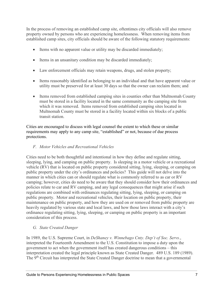In the process of removing an established camp site, oftentimes city officials will also remove property owned by persons who are experiencing homelessness. When removing items from established camp sites, city officials should be aware of the following statutory requirements:

- Items with no apparent value or utility may be discarded immediately;
- Items in an unsanitary condition may be discarded immediately;
- Law enforcement officials may retain weapons, drugs, and stolen property;
- Items reasonably identified as belonging to an individual and that have apparent value or utility must be preserved for at least 30 days so that the owner can reclaim them; and
- Items removed from established camping sites in counties other than Multnomah County must be stored in a facility located in the same community as the camping site from which it was removed. Items removed from established camping sites located in Multnomah County must be stored in a facility located within six blocks of a public transit station.

Cities are encouraged to discuss with legal counsel the extent to which these or similar requirements may apply to any camp site, "established" or not, because of due process protections.

## *F. Motor Vehicles and Recreational Vehicles*

Cities need to be both thoughtful and intentional in how they define and regulate sitting, sleeping, lying, and camping on public property. Is sleeping in a motor vehicle or a recreational vehicle (RV) that is located on public property considered sitting, lying, sleeping, or camping on public property under the city's ordinances and policies? This guide will not delve into the manner in which cities can or should regulate what is commonly referred to as car or RV camping; however, cities do need to be aware that they should consider how their ordinances and policies relate to car and RV camping, and any legal consequences that might arise if such regulations are combined with ordinances regulating sitting, lying, sleeping, or camping on public property. Motor and recreational vehicles, their location on public property, their maintenance on public property, and how they are used on or removed from public property are heavily regulated by various state and local laws, and how those laws interact with a city's ordinance regulating sitting, lying, sleeping, or camping on public property is an important consideration of this process.

## *G. State Created Danger*

In 1989, the U.S. Supreme Court, in *DeShaney v. Winnebago Cnty. Dep't of Soc. Servs.*, interpreted the Fourteenth Amendment to the U.S. Constitution to impose a duty upon the government to act when the government itself has created dangerous conditions – this interpretation created the legal principle known as State Created Danger. 489 U.S. 189 (1989). The 9<sup>th</sup> Circuit has interpreted the State Created Danger doctrine to mean that a governmental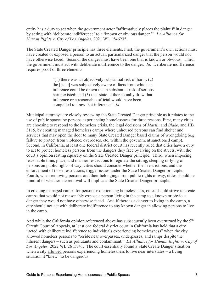entity has a duty to act when the government actor "affirmatively places the plaintiff in danger by acting with 'deliberate indifference' to a 'known or obvious danger.'" *LA Alliance for Human Rights v. City of Los Angeles*, 2021 WL 1546235.

The State Created Danger principle has three elements. First, the government's own actions must have created or exposed a person to an actual, particularized danger that the person would not have otherwise faced. Second, the danger must have been one that is known or obvious. Third, the government must act with deliberate indifference to the danger. *Id*. Deliberate indifference requires proof of three elements:

> "(1) there was an objectively substantial risk of harm;  $(2)$ the [state] was subjectively aware of facts from which an inference could be drawn that a substantial risk of serious harm existed; and (3) the [state] either actually drew that inference or a reasonable official would have been compelled to draw that inference." *Id*.

Municipal attorneys are closely reviewing the State Created Danger principle as it relates to the use of public spaces by persons experiencing homelessness for three reasons. First, many cities are choosing to respond to the homeless crisis, the legal decisions of *Martin* and *Blake*, and HB 3115, by creating managed homeless camps where unhoused persons can find shelter and services that may open the door to many State Created Danger based claims of wrongdoing (*e.g.* failure to protect from violence, overdoses, etc. within the government sanctioned camp). Second, in California, at least one federal district court has recently ruled that cities have a duty to act to protect homeless persons from the dangers they face by living on the streets, with the court's opinion resting squarely on the State Created Danger principle. Third, when imposing reasonable time, place, and manner restrictions to regulate the sitting, sleeping or lying of persons on public rights of way, cities should consider whether their restrictions, and the enforcement of those restrictions, trigger issues under the State Created Danger principle. Fourth, when removing persons and their belongings from public rights of way, cities should be mindful of whether the removal will implicate the State Created Danger principle.

In creating managed camps for persons experiencing homelessness, cities should strive to create camps that would not reasonably expose a person living in the camp to a known or obvious danger they would not have otherwise faced. And if there is a danger to living in the camp, a city should not act with deliberate indifference to any known danger in allowing persons to live in the camp.

And while the California opinion referenced above has subsequently been overturned by the 9<sup>th</sup> Circuit Court of Appeals, at least one federal district court in California has held that a city "acted with deliberate indifference to individuals experiencing homelessness" when the city allowed homeless persons to "reside near overpasses, underpasses, and ramps despite the inherent dangers – such as pollutants and contaminant." *LA Alliance for Human Rights v. City of Los Angeles,* 2022 WL 2615741. The court essentially found a State Create Danger situation when a city allowed persons experiencing homelessness to live near interstates – a living situation it "knew" to be dangerous.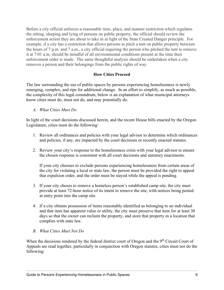Before a city official enforces a reasonable time, place, and manner restriction which regulates the sitting, sleeping and lying of persons on public property, the official should review the enforcement action they are about to take in in light of the State Created Danger principle. For example, if a city has a restriction that allows persons to pitch a tent on public property between the hours of 7 p.m. and 7 a.m., a city official requiring the person who pitched the tent to remove it at 7:01 a.m. should be mindful of all environmental conditions present at the time their enforcement order is made. The same thoughtful analysis should be undertaken when a city removes a person and their belongings from the public rights of way.

## **How Cities Proceed**

The law surrounding the use of public spaces by persons experiencing homelessness is newly emerging, complex, and ripe for additional change. In an effort to simplify, as much as possible, the complexity of this legal conundrum, below is an explanation of what municipal attorneys know cities must do, must not do, and may potentially do.

*A. What Cities Must Do*

In light of the court decisions discussed herein, and the recent House bills enacted by the Oregon Legislature, cities must do the following:

- 1. Review all ordinances and policies with your legal advisor to determine which ordinances and policies, if any, are impacted by the court decisions or recently enacted statutes.
- 2. Review your city's response to the homelessness crisis with your legal advisor to ensure the chosen response is consistent with all court decisions and statutory enactments.

If your city chooses to exclude persons experiencing homelessness from certain areas of the city for violating a local or state law, the person must be provided the right to appeal that expulsion order, and the order must be stayed while the appeal is pending.

- 3. If your city choses to remove a homeless person's established camp site, the city must provide at least 72-hour notice of its intent to remove the site, with notices being posted at entry point into the camp site.
- 4. If a city obtains possession of items reasonably identified as belonging to an individual and that item has apparent value or utility, the city must preserve that item for at least 30 days so that the owner can reclaim the property, and store that property in a location that complies with state law.
- *B. What Cities Must Not Do*

When the decisions rendered by the federal district court of Oregon and the 9<sup>th</sup> Circuit Court of Appeals are read together, particularly in conjunction with Oregon statutes, cities must not do the following: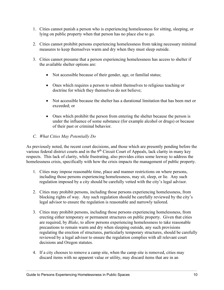- 1. Cities cannot punish a person who is experiencing homelessness for sitting, sleeping, or lying on public property when that person has no place else to go.
- 2. Cities cannot prohibit persons experiencing homelessness from taking necessary minimal measures to keep themselves warm and dry when they must sleep outside.
- 3. Cities cannot presume that a person experiencing homelessness has access to shelter if the available shelter options are:
	- Not accessible because of their gender, age, or familial status;
	- Ones which requires a person to submit themselves to religious teaching or doctrine for which they themselves do not believe;
	- Not accessible because the shelter has a durational limitation that has been met or exceeded; or
	- Ones which prohibit the person from entering the shelter because the person is under the influence of some substance (for example alcohol or drugs) or because of their past or criminal behavior.
- *C. What Cities May Potentially Do*

As previously noted, the recent court decisions, and those which are presently pending before the various federal district courts and in the 9<sup>th</sup> Circuit Court of Appeals, lack clarity in many key respects. This lack of clarity, while frustrating, also provides cities some leeway to address the homelessness crisis, specifically with how the crisis impacts the management of public property.

- 1. Cities may impose reasonable time, place and manner restrictions on where persons, including those persons experiencing homelessness, may sit, sleep, or lie. Any such regulation imposed by a city should be carefully vetted with the city's legal advisor.
- 2. Cities may prohibit persons, including those persons experiencing homelessness, from blocking rights of way. Any such regulation should be carefully reviewed by the city's legal advisor to ensure the regulation is reasonable and narrowly tailored.
- 3. Cities may prohibit persons, including those persons experiencing homelessness, from erecting either temporary or permanent structures on public property. Given that cities are required, by *Blake*, to allow persons experiencing homelessness to take reasonable precautions to remain warm and dry when sleeping outside, any such provisions regulating the erection of structures, particularly temporary structures, should be carefully reviewed by a legal advisor to ensure the regulation complies with all relevant court decisions and Oregon statutes.
- 4. If a city chooses to remove a camp site, when the camp site is removed, cities may discard items with no apparent value or utility, may discard items that are in an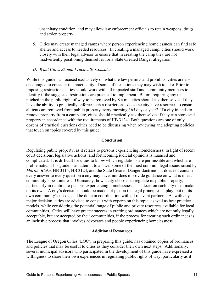unsanitary condition, and may allow law enforcement officials to retain weapons, drugs, and stolen property.

5. Cities may create managed camps where person experiencing homelessness can find safe shelter and access to needed resources. In creating a managed camp, cities should work closely with their legal advisor to ensure that in creating the camp they are not inadvertently positioning themselves for a State Created Danger allegation.

## *D. What Cities Should Practically Consider*

While this guide has focused exclusively on what the law permits and prohibits, cities are also encouraged to consider the practicality of some of the actions they may wish to take. Prior to imposing restrictions, cities should work with all impacted staff and community members to identify if the suggested restrictions are practical to implement. Before requiring any tent pitched in the public right of way to be removed by 8 a.m., cities should ask themselves if they have the ability to practically enforce such a restriction – does the city have resources to ensure all tents are removed from public property every morning 365 days a year? If a city intends to remove property from a camp site, cities should practically ask themselves if they can store said property in accordance with the requirements of HB 3124. Both questions are one of only dozens of practical questions cities need to be discussing when reviewing and adopting policies that touch on topics covered by this guide.

#### **Conclusion**

Regulating public property, as it relates to persons experiencing homelessness, in light of recent court decisions, legislative actions, and forthcoming judicial opinions is nuanced and complicated. It is difficult for cities to know which regulations are permissible and which are problematic. This guide is an attempt to answer some of the most common legal issues raised by *Martin*, *Blake*, HB 3115, HB 3124, and the State Created Danger doctrine – it does not contain every answer to every question a city may have, nor does it provide guidance on what is in each community's best interest. Ultimately, how a city chooses to regulate its public property, particularly in relation to persons experiencing homelessness, is a decision each city must make on its own. A city's decision should be made not just on the legal principles at play, but on its own community's needs, and be done in coordination with all relevant partners. As with any major decision, cities are advised to consult with experts on this topic, as well as best practice models, while considering the potential range of public and private resources available for local communities. Cities will have greater success in crafting ordinances which are not only legally acceptable, but are accepted by their communities, if the process for creating such ordinances is an inclusive process that involves advocates and people experiencing homelessness.

## **Additional Resources**

The League of Oregon Cities (LOC), in preparing this guide, has obtained copies of ordinances and policies that may be useful to cities as they consider their own next steps. Additionally, several municipal advisors who participated in the development of this guide have expressed a willingness to share their own experiences in regulating public rights of way, particularly as it